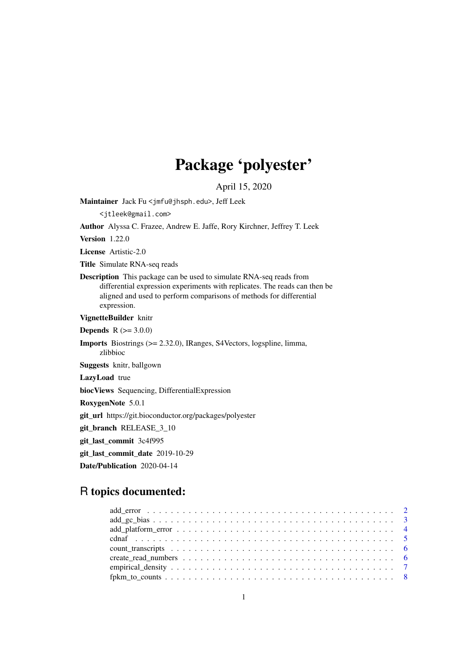# Package 'polyester'

April 15, 2020

<span id="page-0-0"></span>Maintainer Jack Fu <jmfu@jhsph.edu>, Jeff Leek

<jtleek@gmail.com>

Author Alyssa C. Frazee, Andrew E. Jaffe, Rory Kirchner, Jeffrey T. Leek

Version 1.22.0

License Artistic-2.0

Title Simulate RNA-seq reads

Description This package can be used to simulate RNA-seq reads from differential expression experiments with replicates. The reads can then be aligned and used to perform comparisons of methods for differential expression.

VignetteBuilder knitr

**Depends**  $R (= 3.0.0)$ 

Imports Biostrings (>= 2.32.0), IRanges, S4Vectors, logspline, limma, zlibbioc

Suggests knitr, ballgown

LazyLoad true

biocViews Sequencing, DifferentialExpression

RoxygenNote 5.0.1

git\_url https://git.bioconductor.org/packages/polyester

git\_branch RELEASE\_3\_10

git\_last\_commit 3c4f995

git\_last\_commit\_date 2019-10-29

Date/Publication 2020-04-14

## R topics documented: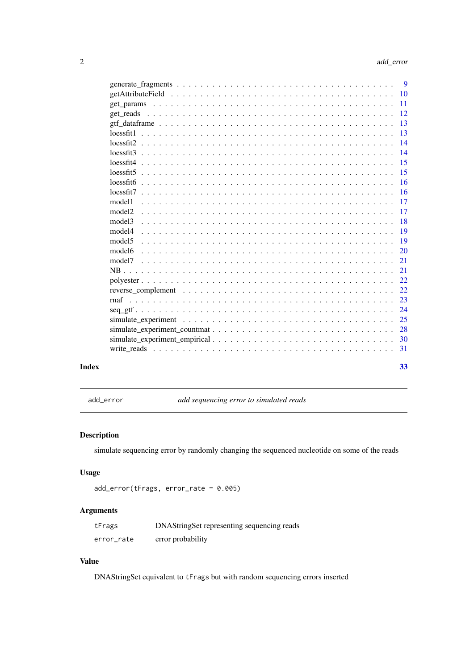<span id="page-1-0"></span>

|              |                    | - 9             |
|--------------|--------------------|-----------------|
|              |                    |                 |
|              |                    |                 |
|              |                    |                 |
|              |                    | $-13$           |
|              |                    |                 |
|              |                    | $\overline{14}$ |
|              |                    |                 |
|              |                    | $-15$           |
|              |                    |                 |
|              |                    |                 |
|              |                    |                 |
|              | model1             |                 |
|              | model <sub>2</sub> |                 |
|              | model3             | -18             |
|              | model4             |                 |
|              | model5             | -19             |
|              | model6             |                 |
|              |                    |                 |
|              |                    |                 |
|              |                    |                 |
|              |                    |                 |
|              |                    | 23              |
|              |                    | -24             |
|              |                    |                 |
|              |                    | 28              |
|              |                    |                 |
|              |                    |                 |
| <b>Index</b> |                    | 33              |

<span id="page-1-1"></span>add\_error *add sequencing error to simulated reads*

## Description

simulate sequencing error by randomly changing the sequenced nucleotide on some of the reads

## Usage

```
add_error(tFrags, error_rate = 0.005)
```
## Arguments

| tFrags     | DNAStringSet representing sequencing reads |
|------------|--------------------------------------------|
| error_rate | error probability                          |

## Value

DNAStringSet equivalent to tFrags but with random sequencing errors inserted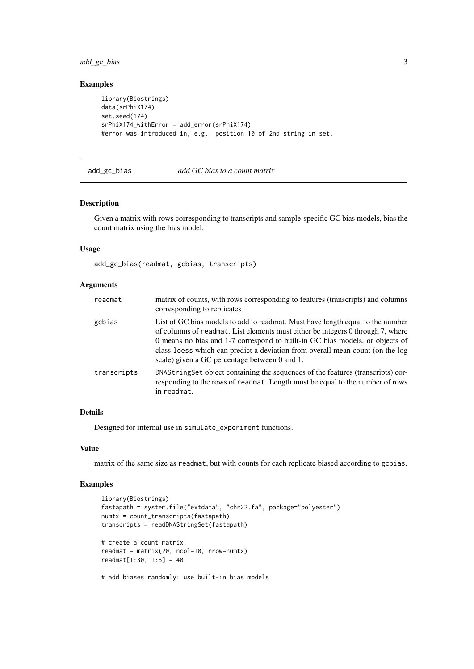#### <span id="page-2-0"></span>add\_gc\_bias 3

## Examples

```
library(Biostrings)
data(srPhiX174)
set.seed(174)
srPhiX174_withError = add_error(srPhiX174)
#error was introduced in, e.g., position 10 of 2nd string in set.
```
#### add\_gc\_bias *add GC bias to a count matrix*

## Description

Given a matrix with rows corresponding to transcripts and sample-specific GC bias models, bias the count matrix using the bias model.

## Usage

add\_gc\_bias(readmat, gcbias, transcripts)

## Arguments

| readmat     | matrix of counts, with rows corresponding to features (transcripts) and columns<br>corresponding to replicates                                                                                                                                                                                                                                                                      |
|-------------|-------------------------------------------------------------------------------------------------------------------------------------------------------------------------------------------------------------------------------------------------------------------------------------------------------------------------------------------------------------------------------------|
| gcbias      | List of GC bias models to add to readmat. Must have length equal to the number<br>of columns of readmat. List elements must either be integers 0 through 7, where<br>0 means no bias and 1-7 correspond to built-in GC bias models, or objects of<br>class loess which can predict a deviation from overall mean count (on the log<br>scale) given a GC percentage between 0 and 1. |
| transcripts | DNAString Set object containing the sequences of the features (transcripts) cor-<br>responding to the rows of readmat. Length must be equal to the number of rows<br>in readmat.                                                                                                                                                                                                    |

## Details

Designed for internal use in simulate\_experiment functions.

## Value

matrix of the same size as readmat, but with counts for each replicate biased according to gcbias.

## Examples

```
library(Biostrings)
fastapath = system.file("extdata", "chr22.fa", package="polyester")
numtx = count_transcripts(fastapath)
transcripts = readDNAStringSet(fastapath)
# create a count matrix:
readmat = matrix(20, ncol=10, nrow=numtx)readmat[1:30, 1:5] = 40
```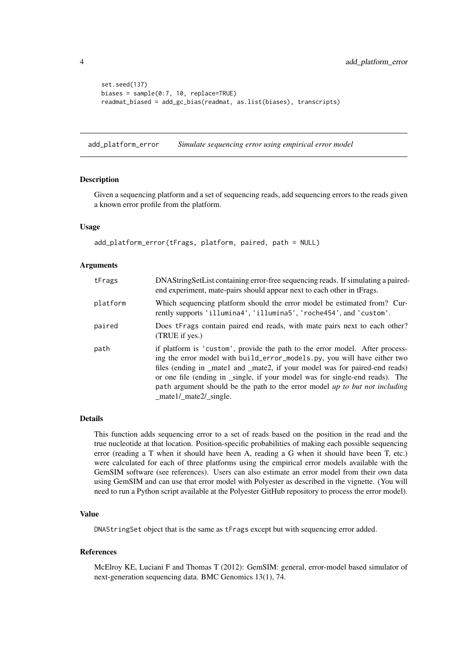```
set.seed(137)
biases = sample(0:7, 10, replace=TRUE)
readmat_biased = add_gc_bias(readmat, as.list(biases), transcripts)
```
add\_platform\_error *Simulate sequencing error using empirical error model*

#### Description

Given a sequencing platform and a set of sequencing reads, add sequencing errors to the reads given a known error profile from the platform.

## Usage

```
add_platform_error(tFrags, platform, paired, path = NULL)
```
#### Arguments

| tFrags   | DNAString Set List containing error-free sequencing reads. If simulating a paired-<br>end experiment, mate-pairs should appear next to each other in tFrags.                                                                                                                                                                                                                                                                                              |
|----------|-----------------------------------------------------------------------------------------------------------------------------------------------------------------------------------------------------------------------------------------------------------------------------------------------------------------------------------------------------------------------------------------------------------------------------------------------------------|
| platform | Which sequencing platform should the error model be estimated from? Cur-<br>rently supports 'illumina4', 'illumina5', 'roche454', and 'custom'.                                                                                                                                                                                                                                                                                                           |
| paired   | Does tFrags contain paired end reads, with mate pairs next to each other?<br>(TRUE if yes.)                                                                                                                                                                                                                                                                                                                                                               |
| path     | if platform is 'custom', provide the path to the error model. After process-<br>ing the error model with build_error_models.py, you will have either two<br>files (ending in _mate1 and _mate2, if your model was for paired-end reads)<br>or one file (ending in _single, if your model was for single-end reads). The<br>path argument should be the path to the error model up to but not including<br>$_{\text{mate1/} \text{mate2/} \text{single.}}$ |

#### Details

This function adds sequencing error to a set of reads based on the position in the read and the true nucleotide at that location. Position-specific probabilities of making each possible sequencing error (reading a T when it should have been A, reading a G when it should have been T, etc.) were calculated for each of three platforms using the empirical error models available with the GemSIM software (see references). Users can also estimate an error model from their own data using GemSIM and can use that error model with Polyester as described in the vignette. (You will need to run a Python script available at the Polyester GitHub repository to process the error model).

## Value

DNAStringSet object that is the same as tFrags except but with sequencing error added.

## References

McElroy KE, Luciani F and Thomas T (2012): GemSIM: general, error-model based simulator of next-generation sequencing data. BMC Genomics 13(1), 74.

<span id="page-3-0"></span>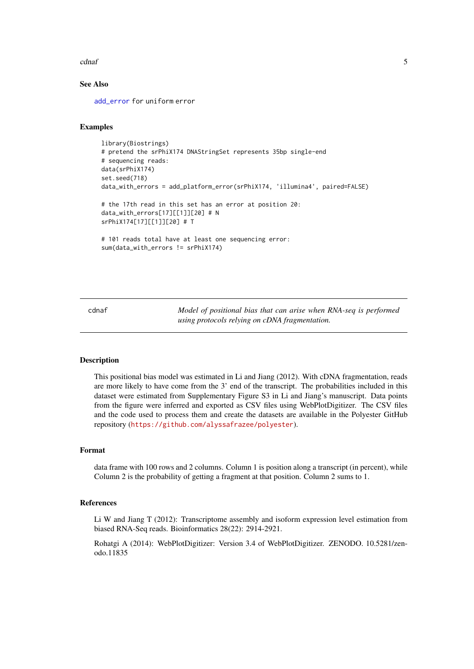#### <span id="page-4-0"></span>cdnaf 5

#### See Also

[add\\_error](#page-1-1) for uniform error

## Examples

```
library(Biostrings)
# pretend the srPhiX174 DNAStringSet represents 35bp single-end
# sequencing reads:
data(srPhiX174)
set.seed(718)
data_with_errors = add_platform_error(srPhiX174, 'illumina4', paired=FALSE)
# the 17th read in this set has an error at position 20:
data_with_errors[17][[1]][20] # N
srPhiX174[17][[1]][20] # T
# 101 reads total have at least one sequencing error:
sum(data_with_errors != srPhiX174)
```
cdnaf *Model of positional bias that can arise when RNA-seq is performed using protocols relying on cDNA fragmentation.*

## Description

This positional bias model was estimated in Li and Jiang (2012). With cDNA fragmentation, reads are more likely to have come from the 3' end of the transcript. The probabilities included in this dataset were estimated from Supplementary Figure S3 in Li and Jiang's manuscript. Data points from the figure were inferred and exported as CSV files using WebPlotDigitizer. The CSV files and the code used to process them and create the datasets are available in the Polyester GitHub repository (<https://github.com/alyssafrazee/polyester>).

## Format

data frame with 100 rows and 2 columns. Column 1 is position along a transcript (in percent), while Column 2 is the probability of getting a fragment at that position. Column 2 sums to 1.

## References

Li W and Jiang T (2012): Transcriptome assembly and isoform expression level estimation from biased RNA-Seq reads. Bioinformatics 28(22): 2914-2921.

Rohatgi A (2014): WebPlotDigitizer: Version 3.4 of WebPlotDigitizer. ZENODO. 10.5281/zenodo.11835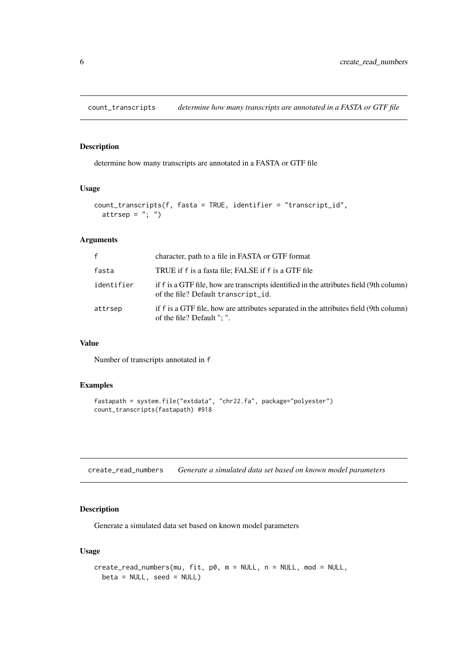<span id="page-5-0"></span>

determine how many transcripts are annotated in a FASTA or GTF file

## Usage

```
count_transcripts(f, fasta = TRUE, identifier = "transcript_id",
 attrsep = "; ")
```
#### Arguments

| $\mathbf{f}$ | character, path to a file in FASTA or GTF format                                                                               |
|--------------|--------------------------------------------------------------------------------------------------------------------------------|
| fasta        | TRUE if f is a fasta file; FALSE if f is a GTF file                                                                            |
| identifier   | if f is a GTF file, how are transcripts identified in the attributes field (9th column)<br>of the file? Default transcript_id. |
| attrsep      | if f is a GTF file, how are attributes separated in the attributes field (9th column)<br>of the file? Default "; ".            |

## Value

Number of transcripts annotated in f

#### Examples

```
fastapath = system.file("extdata", "chr22.fa", package="polyester")
count_transcripts(fastapath) #918
```
create\_read\_numbers *Generate a simulated data set based on known model parameters*

## Description

Generate a simulated data set based on known model parameters

## Usage

```
create_read_numbers(mu, fit, p0, m = NULL, n = NULL, mod = NULL,
 beta = NULL, seed = NULL)
```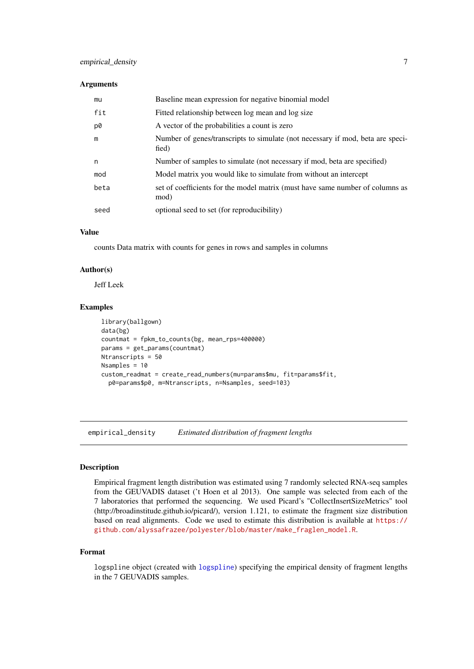#### <span id="page-6-0"></span>Arguments

| mu   | Baseline mean expression for negative binomial model                                    |
|------|-----------------------------------------------------------------------------------------|
| fit  | Fitted relationship between log mean and log size                                       |
| p0   | A vector of the probabilities a count is zero                                           |
| m    | Number of genes/transcripts to simulate (not necessary if mod, beta are speci-<br>fied) |
| n    | Number of samples to simulate (not necessary if mod, beta are specified)                |
| mod  | Model matrix you would like to simulate from without an intercept                       |
| beta | set of coefficients for the model matrix (must have same number of columns as<br>mod)   |
| seed | optional seed to set (for reproducibility)                                              |

## Value

counts Data matrix with counts for genes in rows and samples in columns

## Author(s)

Jeff Leek

#### Examples

```
library(ballgown)
data(bg)
countmat = fpkm_to_counts(bg, mean_rps=400000)
params = get_params(countmat)
Ntranscripts = 50
Nsamples = 10
custom_readmat = create_read_numbers(mu=params$mu, fit=params$fit,
  p0=params$p0, m=Ntranscripts, n=Nsamples, seed=103)
```
empirical\_density *Estimated distribution of fragment lengths*

## Description

Empirical fragment length distribution was estimated using 7 randomly selected RNA-seq samples from the GEUVADIS dataset ('t Hoen et al 2013). One sample was selected from each of the 7 laboratories that performed the sequencing. We used Picard's "CollectInsertSizeMetrics" tool (http://broadinstitude.github.io/picard/), version 1.121, to estimate the fragment size distribution based on read alignments. Code we used to estimate this distribution is available at [https://](https://github.com/alyssafrazee/polyester/blob/master/make_fraglen_model.R) [github.com/alyssafrazee/polyester/blob/master/make\\_fraglen\\_model.R](https://github.com/alyssafrazee/polyester/blob/master/make_fraglen_model.R).

## Format

logspline object (created with [logspline](#page-0-0)) specifying the empirical density of fragment lengths in the 7 GEUVADIS samples.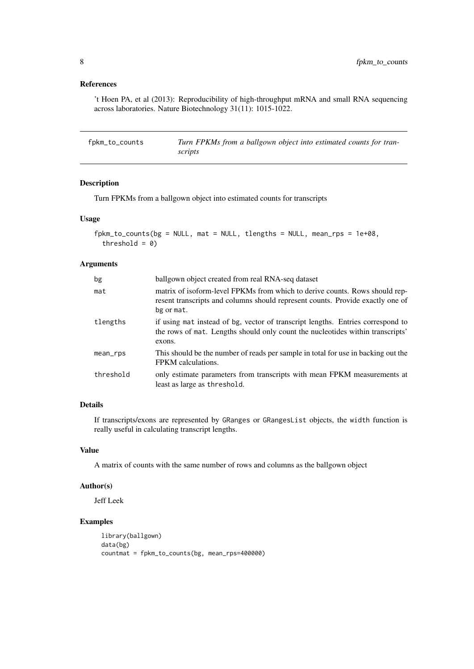## <span id="page-7-0"></span>References

't Hoen PA, et al (2013): Reproducibility of high-throughput mRNA and small RNA sequencing across laboratories. Nature Biotechnology 31(11): 1015-1022.

<span id="page-7-1"></span>fpkm\_to\_counts *Turn FPKMs from a ballgown object into estimated counts for transcripts*

## Description

Turn FPKMs from a ballgown object into estimated counts for transcripts

## Usage

```
fphm_to_counts(bg = NULL, mat = NULL, tlengths = NULL, mean_rps = 1e+08,threshold = 0)
```
## Arguments

| bg        | ballgown object created from real RNA-seq dataset                                                                                                                           |
|-----------|-----------------------------------------------------------------------------------------------------------------------------------------------------------------------------|
| mat       | matrix of isoform-level FPKMs from which to derive counts. Rows should rep-<br>resent transcripts and columns should represent counts. Provide exactly one of<br>bg or mat. |
| tlengths  | if using mat instead of bg, vector of transcript lengths. Entries correspond to<br>the rows of mat. Lengths should only count the nucleotides within transcripts'<br>exons. |
| mean_rps  | This should be the number of reads per sample in total for use in backing out the<br>FPKM calculations.                                                                     |
| threshold | only estimate parameters from transcripts with mean FPKM measurements at<br>least as large as threshold.                                                                    |

## Details

If transcripts/exons are represented by GRanges or GRangesList objects, the width function is really useful in calculating transcript lengths.

## Value

A matrix of counts with the same number of rows and columns as the ballgown object

## Author(s)

Jeff Leek

## Examples

```
library(ballgown)
data(bg)
countmat = fpkm_to_counts(bg, mean_rps=400000)
```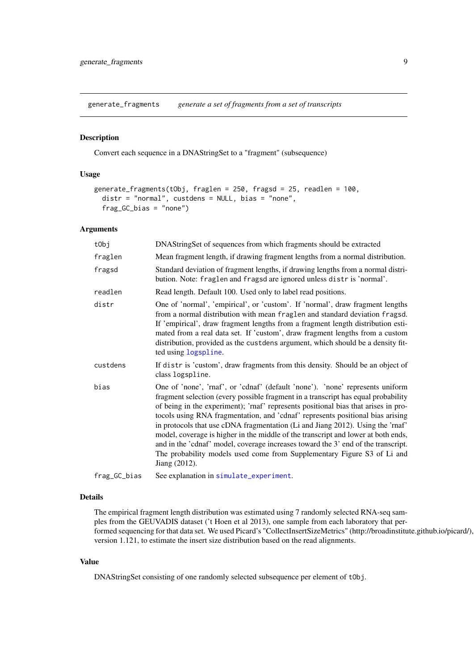<span id="page-8-0"></span>generate\_fragments *generate a set of fragments from a set of transcripts*

#### Description

Convert each sequence in a DNAStringSet to a "fragment" (subsequence)

## Usage

```
generate_fragments(tObj, fraglen = 250, fragsd = 25, readlen = 100,
 distr = "normal", custdens = NULL, bias = "none",
 frag_GC_bias = "none")
```
#### Arguments

| tObj         | DNAStringSet of sequences from which fragments should be extracted                                                                                                                                                                                                                                                                                                                                                                                                                                                                                                                                                                                                                                 |
|--------------|----------------------------------------------------------------------------------------------------------------------------------------------------------------------------------------------------------------------------------------------------------------------------------------------------------------------------------------------------------------------------------------------------------------------------------------------------------------------------------------------------------------------------------------------------------------------------------------------------------------------------------------------------------------------------------------------------|
| fraglen      | Mean fragment length, if drawing fragment lengths from a normal distribution.                                                                                                                                                                                                                                                                                                                                                                                                                                                                                                                                                                                                                      |
| fragsd       | Standard deviation of fragment lengths, if drawing lengths from a normal distri-<br>bution. Note: fraglen and fragsd are ignored unless distris 'normal'.                                                                                                                                                                                                                                                                                                                                                                                                                                                                                                                                          |
| readlen      | Read length. Default 100. Used only to label read positions.                                                                                                                                                                                                                                                                                                                                                                                                                                                                                                                                                                                                                                       |
| distr        | One of 'normal', 'empirical', or 'custom'. If 'normal', draw fragment lengths<br>from a normal distribution with mean fraglen and standard deviation fragsd.<br>If 'empirical', draw fragment lengths from a fragment length distribution esti-<br>mated from a real data set. If 'custom', draw fragment lengths from a custom<br>distribution, provided as the custdens argument, which should be a density fit-<br>ted using logspline.                                                                                                                                                                                                                                                         |
| custdens     | If distr is 'custom', draw fragments from this density. Should be an object of<br>class logspline.                                                                                                                                                                                                                                                                                                                                                                                                                                                                                                                                                                                                 |
| bias         | One of 'none', 'rnaf', or 'cdnaf' (default 'none'). 'none' represents uniform<br>fragment selection (every possible fragment in a transcript has equal probability<br>of being in the experiment); 'rnaf' represents positional bias that arises in pro-<br>tocols using RNA fragmentation, and 'cdnaf' represents positional bias arising<br>in protocols that use cDNA fragmentation (Li and Jiang 2012). Using the 'rnaf'<br>model, coverage is higher in the middle of the transcript and lower at both ends,<br>and in the 'cdnaf' model, coverage increases toward the 3' end of the transcript.<br>The probability models used come from Supplementary Figure S3 of Li and<br>Jiang (2012). |
| frag_GC_bias | See explanation in simulate_experiment.                                                                                                                                                                                                                                                                                                                                                                                                                                                                                                                                                                                                                                                            |

#### Details

The empirical fragment length distribution was estimated using 7 randomly selected RNA-seq samples from the GEUVADIS dataset ('t Hoen et al 2013), one sample from each laboratory that performed sequencing for that data set. We used Picard's "CollectInsertSizeMetrics" (http://broadinstitute.github.io/picard/), version 1.121, to estimate the insert size distribution based on the read alignments.

## Value

DNAStringSet consisting of one randomly selected subsequence per element of tObj.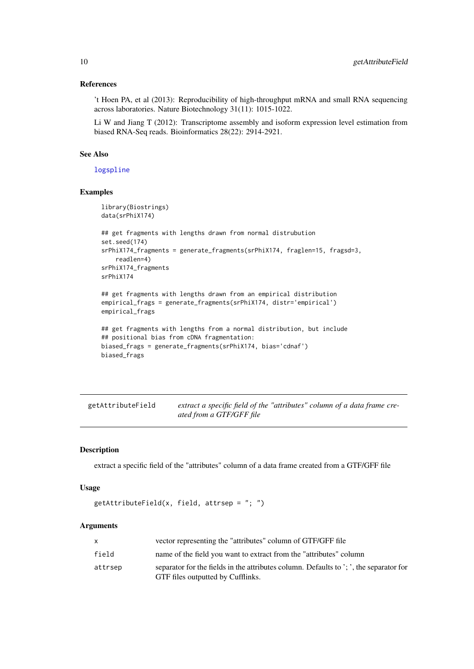#### References

't Hoen PA, et al (2013): Reproducibility of high-throughput mRNA and small RNA sequencing across laboratories. Nature Biotechnology 31(11): 1015-1022.

Li W and Jiang T (2012): Transcriptome assembly and isoform expression level estimation from biased RNA-Seq reads. Bioinformatics 28(22): 2914-2921.

## See Also

[logspline](#page-0-0)

## Examples

```
library(Biostrings)
data(srPhiX174)
## get fragments with lengths drawn from normal distrubution
set.seed(174)
srPhiX174_fragments = generate_fragments(srPhiX174, fraglen=15, fragsd=3,
   readlen=4)
srPhiX174_fragments
srPhiX174
## get fragments with lengths drawn from an empirical distribution
empirical_frags = generate_fragments(srPhiX174, distr='empirical')
empirical_frags
## get fragments with lengths from a normal distribution, but include
```

```
## positional bias from cDNA fragmentation:
biased_frags = generate_fragments(srPhiX174, bias='cdnaf')
biased_frags
```
getAttributeField *extract a specific field of the "attributes" column of a data frame created from a GTF/GFF file*

## Description

extract a specific field of the "attributes" column of a data frame created from a GTF/GFF file

## Usage

 $getAttributeField(x, field, attrsep = "; ")$ 

## Arguments

| X       | vector representing the "attributes" column of GTF/GFF file                                                                 |
|---------|-----------------------------------------------------------------------------------------------------------------------------|
| field   | name of the field you want to extract from the "attributes" column                                                          |
| attrsep | separator for the fields in the attributes column. Defaults to '; ', the separator for<br>GTF files outputted by Cufflinks. |

<span id="page-9-0"></span>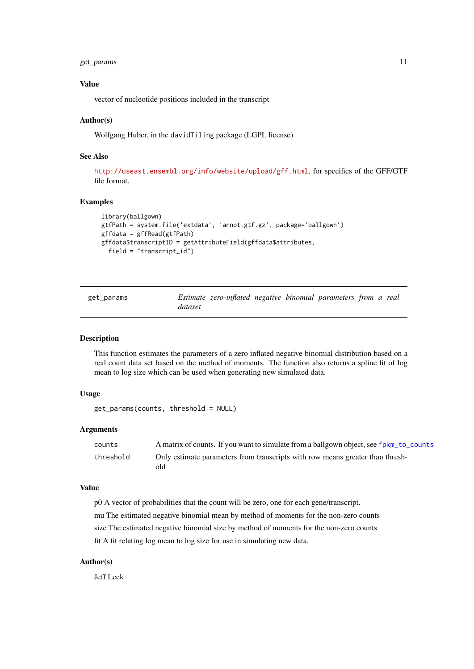<span id="page-10-0"></span>get\_params 11

#### Value

vector of nucleotide positions included in the transcript

#### Author(s)

Wolfgang Huber, in the davidTiling package (LGPL license)

#### See Also

<http://useast.ensembl.org/info/website/upload/gff.html>, for specifics of the GFF/GTF file format.

## Examples

```
library(ballgown)
gtfPath = system.file('extdata', 'annot.gtf.gz', package='ballgown')
gffdata = gffRead(gtfPath)
gffdata$transcriptID = getAttributeField(gffdata$attributes,
 field = "transcript_id")
```

| get_params |         | Estimate zero-inflated negative binomial parameters from a real |  |  |  |
|------------|---------|-----------------------------------------------------------------|--|--|--|
|            | dataset |                                                                 |  |  |  |

#### Description

This function estimates the parameters of a zero inflated negative binomial distribution based on a real count data set based on the method of moments. The function also returns a spline fit of log mean to log size which can be used when generating new simulated data.

## Usage

```
get_params(counts, threshold = NULL)
```
## Arguments

| counts    | A matrix of counts. If you want to simulate from a ballgown object, see fpkm_to_counts |
|-----------|----------------------------------------------------------------------------------------|
| threshold | Only estimate parameters from transcripts with row means greater than thresh-<br>old   |

## Value

p0 A vector of probabilities that the count will be zero, one for each gene/transcript. mu The estimated negative binomial mean by method of moments for the non-zero counts size The estimated negative binomial size by method of moments for the non-zero counts fit A fit relating log mean to log size for use in simulating new data.

## Author(s)

Jeff Leek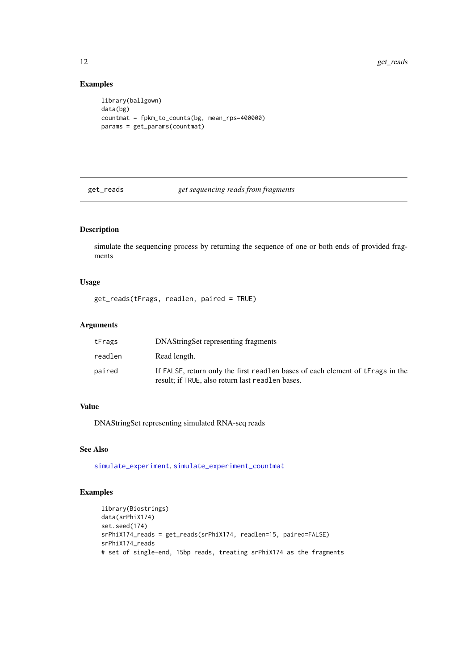## Examples

```
library(ballgown)
data(bg)
countmat = fpkm_to_counts(bg, mean_rps=400000)
params = get_params(countmat)
```
<span id="page-11-1"></span>get\_reads *get sequencing reads from fragments*

## Description

simulate the sequencing process by returning the sequence of one or both ends of provided fragments

## Usage

get\_reads(tFrags, readlen, paired = TRUE)

## Arguments

| tFrags  | DNAString Set representing fragments                                                                                               |
|---------|------------------------------------------------------------------------------------------------------------------------------------|
| readlen | Read length.                                                                                                                       |
| paired  | If FALSE, return only the first readlen bases of each element of tFrags in the<br>result; if TRUE, also return last readlen bases. |

## Value

DNAStringSet representing simulated RNA-seq reads

## See Also

[simulate\\_experiment](#page-24-1), [simulate\\_experiment\\_countmat](#page-27-1)

## Examples

```
library(Biostrings)
data(srPhiX174)
set.seed(174)
srPhiX174_reads = get_reads(srPhiX174, readlen=15, paired=FALSE)
srPhiX174_reads
# set of single-end, 15bp reads, treating srPhiX174 as the fragments
```
<span id="page-11-0"></span>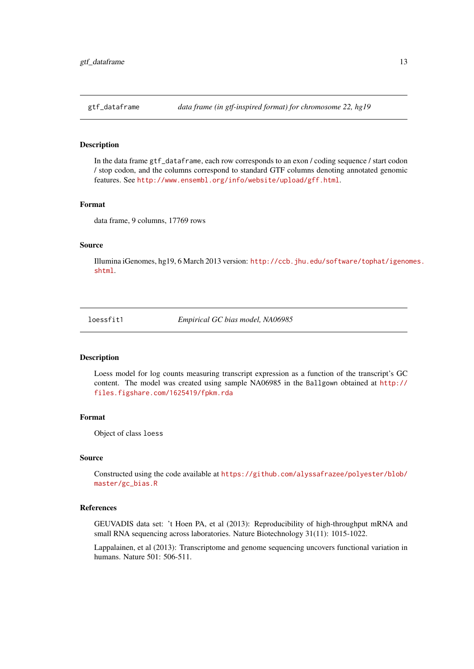<span id="page-12-0"></span>

In the data frame gtf\_dataframe, each row corresponds to an exon / coding sequence / start codon / stop codon, and the columns correspond to standard GTF columns denoting annotated genomic features. See <http://www.ensembl.org/info/website/upload/gff.html>.

## Format

data frame, 9 columns, 17769 rows

#### Source

Illumina iGenomes, hg19, 6 March 2013 version: [http://ccb.jhu.edu/software/tophat/igeno](http://ccb.jhu.edu/software/tophat/igenomes.shtml)mes. [shtml](http://ccb.jhu.edu/software/tophat/igenomes.shtml).

loessfit1 *Empirical GC bias model, NA06985*

#### Description

Loess model for log counts measuring transcript expression as a function of the transcript's GC content. The model was created using sample NA06985 in the Ballgown obtained at [http://](http://files.figshare.com/1625419/fpkm.rda) [files.figshare.com/1625419/fpkm.rda](http://files.figshare.com/1625419/fpkm.rda)

## Format

Object of class loess

## Source

Constructed using the code available at [https://github.com/alyssafrazee/polyester/blob/](https://github.com/alyssafrazee/polyester/blob/master/gc_bias.R) [master/gc\\_bias.R](https://github.com/alyssafrazee/polyester/blob/master/gc_bias.R)

#### References

GEUVADIS data set: 't Hoen PA, et al (2013): Reproducibility of high-throughput mRNA and small RNA sequencing across laboratories. Nature Biotechnology 31(11): 1015-1022.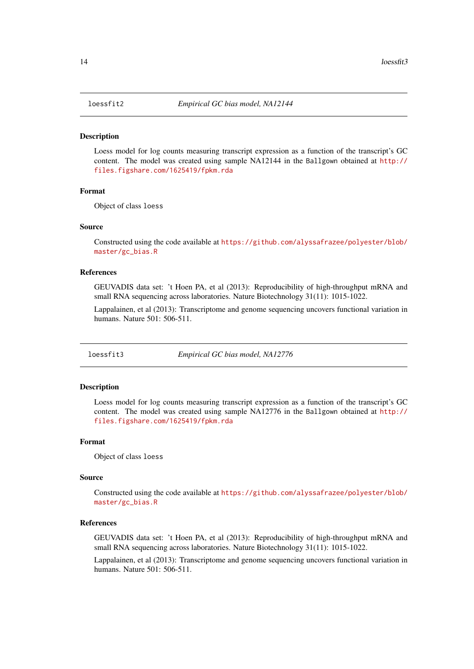<span id="page-13-0"></span>

Loess model for log counts measuring transcript expression as a function of the transcript's GC content. The model was created using sample NA12144 in the Ballgown obtained at [http://](http://files.figshare.com/1625419/fpkm.rda) [files.figshare.com/1625419/fpkm.rda](http://files.figshare.com/1625419/fpkm.rda)

#### Format

Object of class loess

#### Source

Constructed using the code available at [https://github.com/alyssafrazee/polyester/blob/](https://github.com/alyssafrazee/polyester/blob/master/gc_bias.R) [master/gc\\_bias.R](https://github.com/alyssafrazee/polyester/blob/master/gc_bias.R)

#### References

GEUVADIS data set: 't Hoen PA, et al (2013): Reproducibility of high-throughput mRNA and small RNA sequencing across laboratories. Nature Biotechnology 31(11): 1015-1022.

Lappalainen, et al (2013): Transcriptome and genome sequencing uncovers functional variation in humans. Nature 501: 506-511.

loessfit3 *Empirical GC bias model, NA12776*

#### Description

Loess model for log counts measuring transcript expression as a function of the transcript's GC content. The model was created using sample NA12776 in the Ballgown obtained at [http://](http://files.figshare.com/1625419/fpkm.rda) [files.figshare.com/1625419/fpkm.rda](http://files.figshare.com/1625419/fpkm.rda)

## Format

Object of class loess

#### Source

Constructed using the code available at [https://github.com/alyssafrazee/polyester/blob/](https://github.com/alyssafrazee/polyester/blob/master/gc_bias.R) [master/gc\\_bias.R](https://github.com/alyssafrazee/polyester/blob/master/gc_bias.R)

## References

GEUVADIS data set: 't Hoen PA, et al (2013): Reproducibility of high-throughput mRNA and small RNA sequencing across laboratories. Nature Biotechnology 31(11): 1015-1022.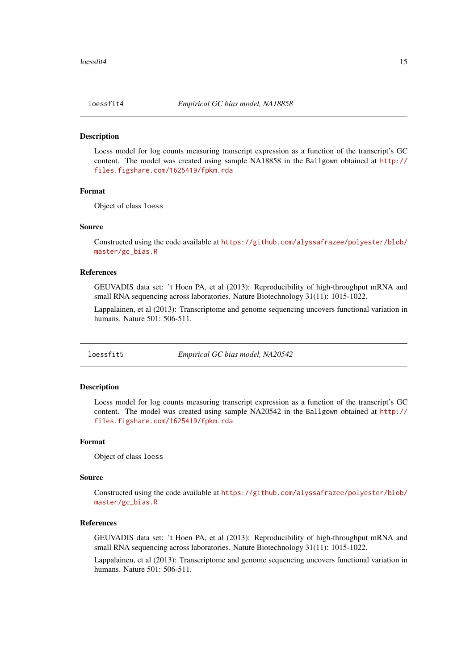<span id="page-14-0"></span>

Loess model for log counts measuring transcript expression as a function of the transcript's GC content. The model was created using sample NA18858 in the Ballgown obtained at [http://](http://files.figshare.com/1625419/fpkm.rda) [files.figshare.com/1625419/fpkm.rda](http://files.figshare.com/1625419/fpkm.rda)

#### Format

Object of class loess

#### Source

Constructed using the code available at [https://github.com/alyssafrazee/polyester/blob/](https://github.com/alyssafrazee/polyester/blob/master/gc_bias.R) [master/gc\\_bias.R](https://github.com/alyssafrazee/polyester/blob/master/gc_bias.R)

#### References

GEUVADIS data set: 't Hoen PA, et al (2013): Reproducibility of high-throughput mRNA and small RNA sequencing across laboratories. Nature Biotechnology 31(11): 1015-1022.

Lappalainen, et al (2013): Transcriptome and genome sequencing uncovers functional variation in humans. Nature 501: 506-511.

loessfit5 *Empirical GC bias model, NA20542*

#### Description

Loess model for log counts measuring transcript expression as a function of the transcript's GC content. The model was created using sample NA20542 in the Ballgown obtained at [http://](http://files.figshare.com/1625419/fpkm.rda) [files.figshare.com/1625419/fpkm.rda](http://files.figshare.com/1625419/fpkm.rda)

## Format

Object of class loess

#### Source

Constructed using the code available at [https://github.com/alyssafrazee/polyester/blob/](https://github.com/alyssafrazee/polyester/blob/master/gc_bias.R) [master/gc\\_bias.R](https://github.com/alyssafrazee/polyester/blob/master/gc_bias.R)

## References

GEUVADIS data set: 't Hoen PA, et al (2013): Reproducibility of high-throughput mRNA and small RNA sequencing across laboratories. Nature Biotechnology 31(11): 1015-1022.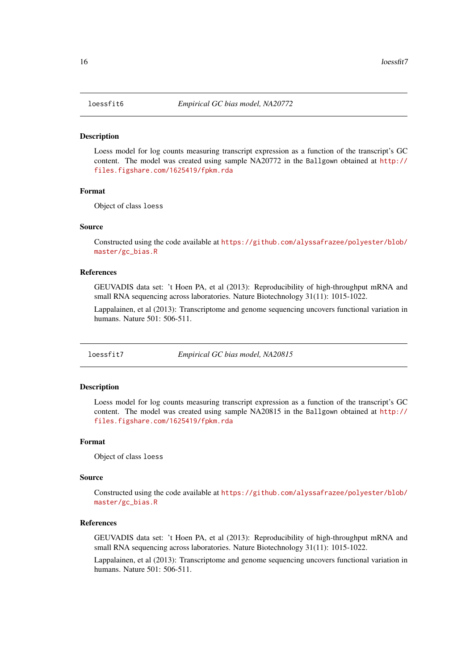<span id="page-15-0"></span>

Loess model for log counts measuring transcript expression as a function of the transcript's GC content. The model was created using sample NA20772 in the Ballgown obtained at [http://](http://files.figshare.com/1625419/fpkm.rda) [files.figshare.com/1625419/fpkm.rda](http://files.figshare.com/1625419/fpkm.rda)

#### Format

Object of class loess

#### Source

Constructed using the code available at [https://github.com/alyssafrazee/polyester/blob/](https://github.com/alyssafrazee/polyester/blob/master/gc_bias.R) [master/gc\\_bias.R](https://github.com/alyssafrazee/polyester/blob/master/gc_bias.R)

#### References

GEUVADIS data set: 't Hoen PA, et al (2013): Reproducibility of high-throughput mRNA and small RNA sequencing across laboratories. Nature Biotechnology 31(11): 1015-1022.

Lappalainen, et al (2013): Transcriptome and genome sequencing uncovers functional variation in humans. Nature 501: 506-511.

loessfit7 *Empirical GC bias model, NA20815*

#### Description

Loess model for log counts measuring transcript expression as a function of the transcript's GC content. The model was created using sample NA20815 in the Ballgown obtained at [http://](http://files.figshare.com/1625419/fpkm.rda) [files.figshare.com/1625419/fpkm.rda](http://files.figshare.com/1625419/fpkm.rda)

## Format

Object of class loess

#### Source

Constructed using the code available at [https://github.com/alyssafrazee/polyester/blob/](https://github.com/alyssafrazee/polyester/blob/master/gc_bias.R) [master/gc\\_bias.R](https://github.com/alyssafrazee/polyester/blob/master/gc_bias.R)

## References

GEUVADIS data set: 't Hoen PA, et al (2013): Reproducibility of high-throughput mRNA and small RNA sequencing across laboratories. Nature Biotechnology 31(11): 1015-1022.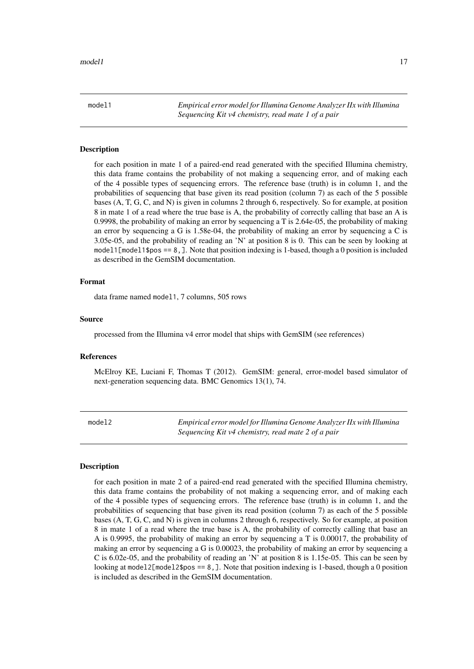<span id="page-16-0"></span>model1 *Empirical error model for Illumina Genome Analyzer IIx with Illumina Sequencing Kit v4 chemistry, read mate 1 of a pair*

#### **Description**

for each position in mate 1 of a paired-end read generated with the specified Illumina chemistry, this data frame contains the probability of not making a sequencing error, and of making each of the 4 possible types of sequencing errors. The reference base (truth) is in column 1, and the probabilities of sequencing that base given its read position (column 7) as each of the 5 possible bases (A, T, G, C, and N) is given in columns 2 through 6, respectively. So for example, at position 8 in mate 1 of a read where the true base is A, the probability of correctly calling that base an A is 0.9998, the probability of making an error by sequencing a T is 2.64e-05, the probability of making an error by sequencing a G is 1.58e-04, the probability of making an error by sequencing a C is 3.05e-05, and the probability of reading an 'N' at position 8 is 0. This can be seen by looking at model1[model1\$pos ==  $8$ ,  $\overline{a}$ ]. Note that position indexing is 1-based, though a 0 position is included as described in the GemSIM documentation.

## Format

data frame named model1, 7 columns, 505 rows

#### Source

processed from the Illumina v4 error model that ships with GemSIM (see references)

#### References

McElroy KE, Luciani F, Thomas T (2012). GemSIM: general, error-model based simulator of next-generation sequencing data. BMC Genomics 13(1), 74.

model2 *Empirical error model for Illumina Genome Analyzer IIx with Illumina Sequencing Kit v4 chemistry, read mate 2 of a pair*

## Description

for each position in mate 2 of a paired-end read generated with the specified Illumina chemistry, this data frame contains the probability of not making a sequencing error, and of making each of the 4 possible types of sequencing errors. The reference base (truth) is in column 1, and the probabilities of sequencing that base given its read position (column 7) as each of the 5 possible bases (A, T, G, C, and N) is given in columns 2 through 6, respectively. So for example, at position 8 in mate 1 of a read where the true base is A, the probability of correctly calling that base an A is 0.9995, the probability of making an error by sequencing a T is 0.00017, the probability of making an error by sequencing a G is 0.00023, the probability of making an error by sequencing a C is 6.02e-05, and the probability of reading an 'N' at position 8 is 1.15e-05. This can be seen by looking at model2 $[$ model2 $$pos == 8$ ,  $]$ . Note that position indexing is 1-based, though a 0 position is included as described in the GemSIM documentation.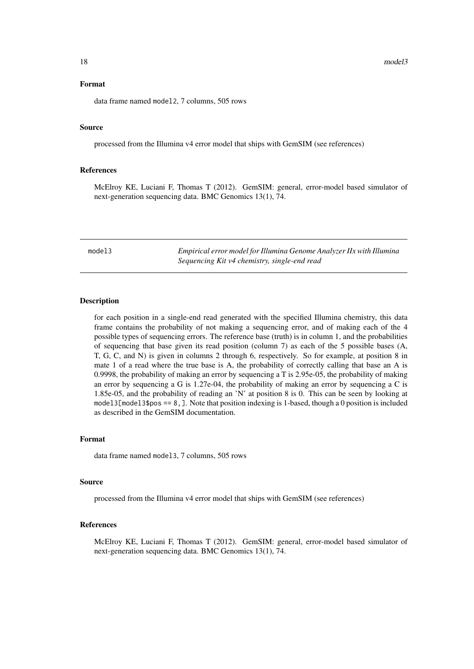## <span id="page-17-0"></span>Source

processed from the Illumina v4 error model that ships with GemSIM (see references)

## References

McElroy KE, Luciani F, Thomas T (2012). GemSIM: general, error-model based simulator of next-generation sequencing data. BMC Genomics 13(1), 74.

model3 *Empirical error model for Illumina Genome Analyzer IIx with Illumina Sequencing Kit v4 chemistry, single-end read*

## Description

for each position in a single-end read generated with the specified Illumina chemistry, this data frame contains the probability of not making a sequencing error, and of making each of the 4 possible types of sequencing errors. The reference base (truth) is in column 1, and the probabilities of sequencing that base given its read position (column 7) as each of the 5 possible bases (A, T, G, C, and N) is given in columns 2 through 6, respectively. So for example, at position 8 in mate 1 of a read where the true base is A, the probability of correctly calling that base an A is 0.9998, the probability of making an error by sequencing a T is 2.95e-05, the probability of making an error by sequencing a G is 1.27e-04, the probability of making an error by sequencing a C is 1.85e-05, and the probability of reading an 'N' at position 8 is 0. This can be seen by looking at model3 $[model3$pos == 8]$ . Note that position indexing is 1-based, though a 0 position is included as described in the GemSIM documentation.

#### Format

data frame named model3, 7 columns, 505 rows

## Source

processed from the Illumina v4 error model that ships with GemSIM (see references)

## References

McElroy KE, Luciani F, Thomas T (2012). GemSIM: general, error-model based simulator of next-generation sequencing data. BMC Genomics 13(1), 74.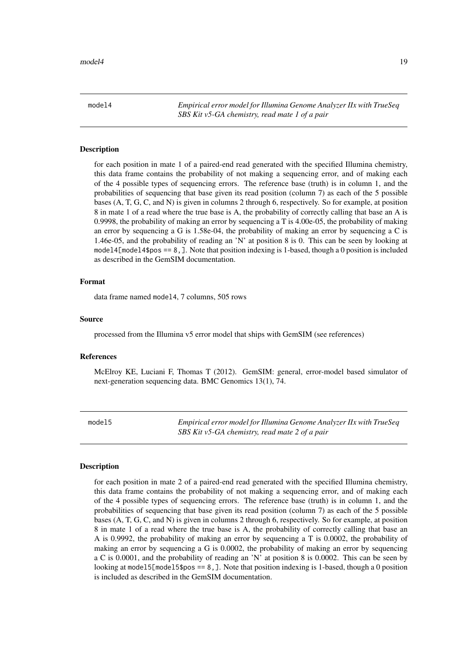<span id="page-18-0"></span>model4 *Empirical error model for Illumina Genome Analyzer IIx with TrueSeq SBS Kit v5-GA chemistry, read mate 1 of a pair*

#### **Description**

for each position in mate 1 of a paired-end read generated with the specified Illumina chemistry, this data frame contains the probability of not making a sequencing error, and of making each of the 4 possible types of sequencing errors. The reference base (truth) is in column 1, and the probabilities of sequencing that base given its read position (column 7) as each of the 5 possible bases (A, T, G, C, and N) is given in columns 2 through 6, respectively. So for example, at position 8 in mate 1 of a read where the true base is A, the probability of correctly calling that base an A is 0.9998, the probability of making an error by sequencing a T is 4.00e-05, the probability of making an error by sequencing a G is 1.58e-04, the probability of making an error by sequencing a C is 1.46e-05, and the probability of reading an 'N' at position 8 is 0. This can be seen by looking at model4[model4\$pos ==  $8$ , ]. Note that position indexing is 1-based, though a 0 position is included as described in the GemSIM documentation.

## Format

data frame named model4, 7 columns, 505 rows

#### Source

processed from the Illumina v5 error model that ships with GemSIM (see references)

#### References

McElroy KE, Luciani F, Thomas T (2012). GemSIM: general, error-model based simulator of next-generation sequencing data. BMC Genomics 13(1), 74.

model5 *Empirical error model for Illumina Genome Analyzer IIx with TrueSeq SBS Kit v5-GA chemistry, read mate 2 of a pair*

#### Description

for each position in mate 2 of a paired-end read generated with the specified Illumina chemistry, this data frame contains the probability of not making a sequencing error, and of making each of the 4 possible types of sequencing errors. The reference base (truth) is in column 1, and the probabilities of sequencing that base given its read position (column 7) as each of the 5 possible bases (A, T, G, C, and N) is given in columns 2 through 6, respectively. So for example, at position 8 in mate 1 of a read where the true base is A, the probability of correctly calling that base an A is 0.9992, the probability of making an error by sequencing a T is 0.0002, the probability of making an error by sequencing a G is 0.0002, the probability of making an error by sequencing a C is 0.0001, and the probability of reading an 'N' at position 8 is 0.0002. This can be seen by looking at model5 $[$ model5\$pos == 8, ]. Note that position indexing is 1-based, though a 0 position is included as described in the GemSIM documentation.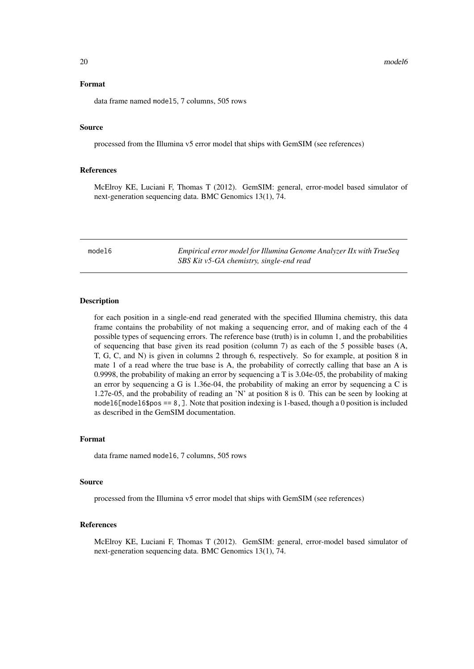#### <span id="page-19-0"></span>Format

data frame named model5, 7 columns, 505 rows

## Source

processed from the Illumina v5 error model that ships with GemSIM (see references)

## References

McElroy KE, Luciani F, Thomas T (2012). GemSIM: general, error-model based simulator of next-generation sequencing data. BMC Genomics 13(1), 74.

model6 *Empirical error model for Illumina Genome Analyzer IIx with TrueSeq SBS Kit v5-GA chemistry, single-end read*

## Description

for each position in a single-end read generated with the specified Illumina chemistry, this data frame contains the probability of not making a sequencing error, and of making each of the 4 possible types of sequencing errors. The reference base (truth) is in column 1, and the probabilities of sequencing that base given its read position (column 7) as each of the 5 possible bases (A, T, G, C, and N) is given in columns 2 through 6, respectively. So for example, at position 8 in mate 1 of a read where the true base is A, the probability of correctly calling that base an A is 0.9998, the probability of making an error by sequencing a T is 3.04e-05, the probability of making an error by sequencing a G is 1.36e-04, the probability of making an error by sequencing a C is 1.27e-05, and the probability of reading an 'N' at position 8 is 0. This can be seen by looking at model6[model6\$pos == 8, ]. Note that position indexing is 1-based, though a 0 position is included as described in the GemSIM documentation.

#### Format

data frame named model6, 7 columns, 505 rows

## Source

processed from the Illumina v5 error model that ships with GemSIM (see references)

## References

McElroy KE, Luciani F, Thomas T (2012). GemSIM: general, error-model based simulator of next-generation sequencing data. BMC Genomics 13(1), 74.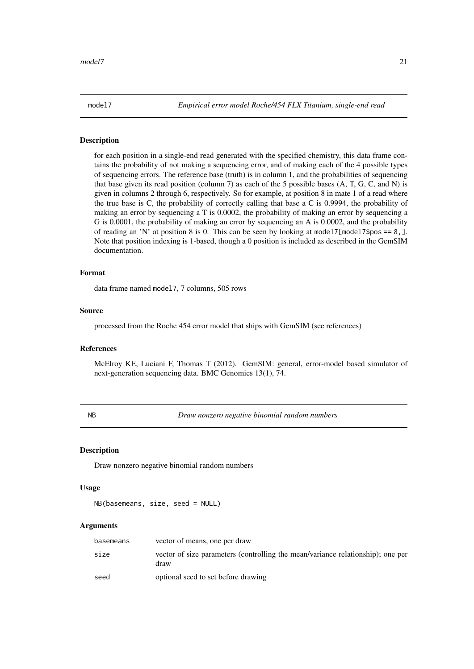<span id="page-20-0"></span>

for each position in a single-end read generated with the specified chemistry, this data frame contains the probability of not making a sequencing error, and of making each of the 4 possible types of sequencing errors. The reference base (truth) is in column 1, and the probabilities of sequencing that base given its read position (column 7) as each of the 5 possible bases (A, T, G, C, and N) is given in columns 2 through 6, respectively. So for example, at position 8 in mate 1 of a read where the true base is C, the probability of correctly calling that base a C is 0.9994, the probability of making an error by sequencing a T is 0.0002, the probability of making an error by sequencing a G is 0.0001, the probability of making an error by sequencing an A is 0.0002, and the probability of reading an 'N' at position 8 is 0. This can be seen by looking at model7 $[$ model7\$pos == 8, ]. Note that position indexing is 1-based, though a 0 position is included as described in the GemSIM documentation.

## Format

data frame named model7, 7 columns, 505 rows

## Source

processed from the Roche 454 error model that ships with GemSIM (see references)

## References

McElroy KE, Luciani F, Thomas T (2012). GemSIM: general, error-model based simulator of next-generation sequencing data. BMC Genomics 13(1), 74.

NB *Draw nonzero negative binomial random numbers*

#### Description

Draw nonzero negative binomial random numbers

## Usage

NB(basemeans, size, seed = NULL)

#### Arguments

| basemeans | vector of means, one per draw                                                           |
|-----------|-----------------------------------------------------------------------------------------|
| size      | vector of size parameters (controlling the mean/variance relationship); one per<br>draw |
| seed      | optional seed to set before drawing                                                     |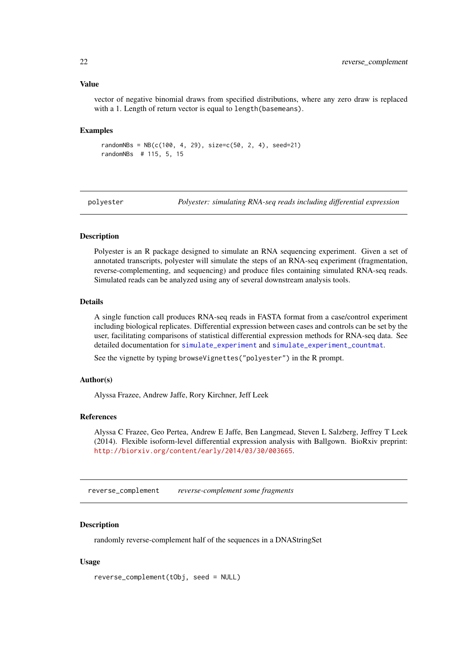#### Value

vector of negative binomial draws from specified distributions, where any zero draw is replaced with a 1. Length of return vector is equal to length(basemeans).

#### Examples

```
randomNBs = NB(c(100, 4, 29), size=c(50, 2, 4), seed=21)randomNBs # 115, 5, 15
```
polyester *Polyester: simulating RNA-seq reads including differential expression*

#### Description

Polyester is an R package designed to simulate an RNA sequencing experiment. Given a set of annotated transcripts, polyester will simulate the steps of an RNA-seq experiment (fragmentation, reverse-complementing, and sequencing) and produce files containing simulated RNA-seq reads. Simulated reads can be analyzed using any of several downstream analysis tools.

## Details

A single function call produces RNA-seq reads in FASTA format from a case/control experiment including biological replicates. Differential expression between cases and controls can be set by the user, facilitating comparisons of statistical differential expression methods for RNA-seq data. See detailed documentation for [simulate\\_experiment](#page-24-1) and [simulate\\_experiment\\_countmat](#page-27-1).

See the vignette by typing browseVignettes("polyester") in the R prompt.

## Author(s)

Alyssa Frazee, Andrew Jaffe, Rory Kirchner, Jeff Leek

#### References

Alyssa C Frazee, Geo Pertea, Andrew E Jaffe, Ben Langmead, Steven L Salzberg, Jeffrey T Leek (2014). Flexible isoform-level differential expression analysis with Ballgown. BioRxiv preprint: <http://biorxiv.org/content/early/2014/03/30/003665>.

reverse\_complement *reverse-complement some fragments*

## Description

randomly reverse-complement half of the sequences in a DNAStringSet

## Usage

```
reverse_complement(tObj, seed = NULL)
```
<span id="page-21-0"></span>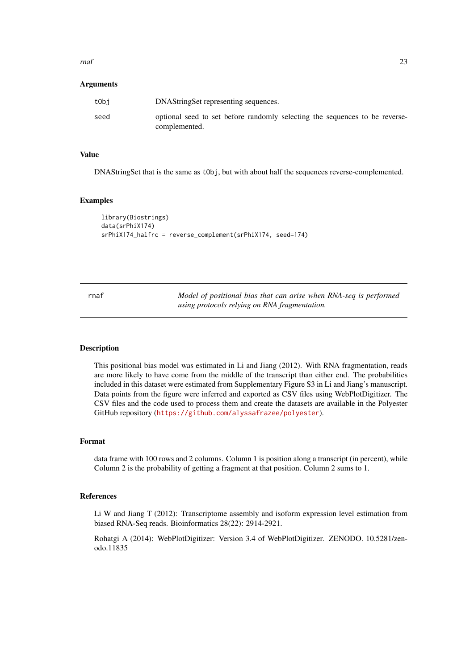<span id="page-22-0"></span> $r_{\text{max}}$  23

#### Arguments

| tObi | DNAString Set representing sequences.                                                        |
|------|----------------------------------------------------------------------------------------------|
| seed | optional seed to set before randomly selecting the sequences to be reverse-<br>complemented. |

## Value

DNAStringSet that is the same as tObj, but with about half the sequences reverse-complemented.

#### Examples

```
library(Biostrings)
data(srPhiX174)
srPhiX174_halfrc = reverse_complement(srPhiX174, seed=174)
```

| rnaf | Model of positional bias that can arise when RNA-seq is performed |
|------|-------------------------------------------------------------------|
|      | using protocols relying on RNA fragmentation.                     |

## Description

This positional bias model was estimated in Li and Jiang (2012). With RNA fragmentation, reads are more likely to have come from the middle of the transcript than either end. The probabilities included in this dataset were estimated from Supplementary Figure S3 in Li and Jiang's manuscript. Data points from the figure were inferred and exported as CSV files using WebPlotDigitizer. The CSV files and the code used to process them and create the datasets are available in the Polyester GitHub repository (<https://github.com/alyssafrazee/polyester>).

#### Format

data frame with 100 rows and 2 columns. Column 1 is position along a transcript (in percent), while Column 2 is the probability of getting a fragment at that position. Column 2 sums to 1.

#### References

Li W and Jiang T (2012): Transcriptome assembly and isoform expression level estimation from biased RNA-Seq reads. Bioinformatics 28(22): 2914-2921.

Rohatgi A (2014): WebPlotDigitizer: Version 3.4 of WebPlotDigitizer. ZENODO. 10.5281/zenodo.11835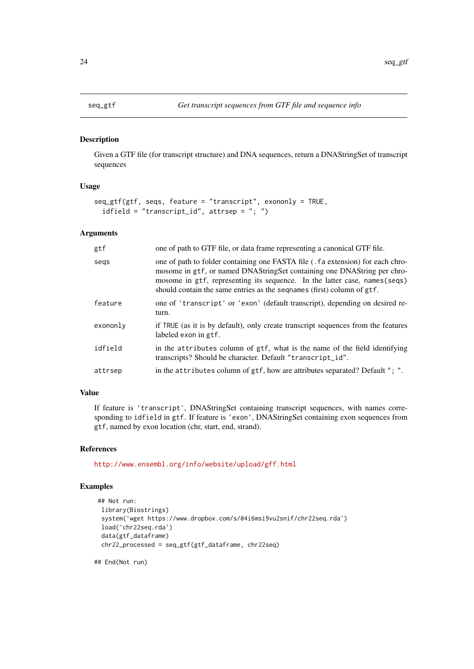<span id="page-23-1"></span><span id="page-23-0"></span>Given a GTF file (for transcript structure) and DNA sequences, return a DNAStringSet of transcript sequences

## Usage

```
seq_gtf(gtf, seqs, feature = "transcript", exononly = TRUE,
  idfield = "transcript_id", attrsep = "; ")
```
#### Arguments

| gtf      | one of path to GTF file, or data frame representing a canonical GTF file.                                                                                                                                                                                                                                          |
|----------|--------------------------------------------------------------------------------------------------------------------------------------------------------------------------------------------------------------------------------------------------------------------------------------------------------------------|
| segs     | one of path to folder containing one FASTA file (. fa extension) for each chro-<br>mosome in gtf, or named DNAStringSet containing one DNAString per chro-<br>mosome in gtf, representing its sequence. In the latter case, names (seqs)<br>should contain the same entries as the seqnames (first) column of gtf. |
| feature  | one of 'transcript' or 'exon' (default transcript), depending on desired re-<br>turn.                                                                                                                                                                                                                              |
| exononly | if TRUE (as it is by default), only create transcript sequences from the features<br>labeled exon in gtf.                                                                                                                                                                                                          |
| idfield  | in the attributes column of gtf, what is the name of the field identifying<br>transcripts? Should be character. Default "transcript_id".                                                                                                                                                                           |
| attrsep  | in the attributes column of gtf, how are attributes separated? Default "; ".                                                                                                                                                                                                                                       |
|          |                                                                                                                                                                                                                                                                                                                    |

## Value

If feature is 'transcript', DNAStringSet containing transcript sequences, with names corresponding to idfield in gtf. If feature is 'exon', DNAStringSet containing exon sequences from gtf, named by exon location (chr, start, end, strand).

#### References

<http://www.ensembl.org/info/website/upload/gff.html>

## Examples

```
## Not run:
library(Biostrings)
system('wget https://www.dropbox.com/s/04i6msi9vu2snif/chr22seq.rda')
 load('chr22seq.rda')
data(gtf_dataframe)
chr22_processed = seq_gtf(gtf_dataframe, chr22seq)
```
## End(Not run)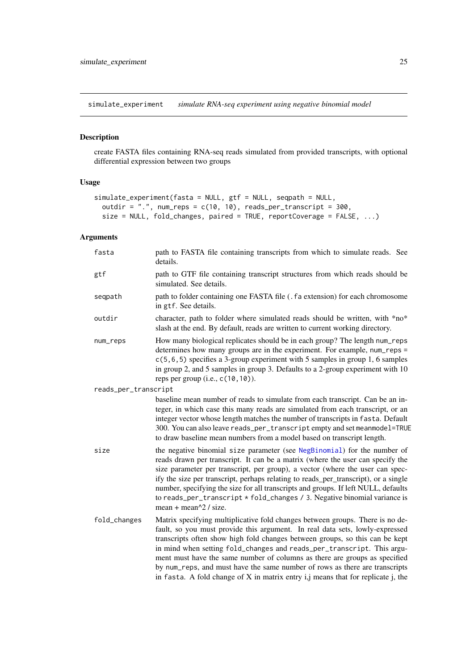<span id="page-24-1"></span><span id="page-24-0"></span>simulate\_experiment *simulate RNA-seq experiment using negative binomial model*

## Description

create FASTA files containing RNA-seq reads simulated from provided transcripts, with optional differential expression between two groups

## Usage

```
simulate_experiment(fasta = NULL, gtf = NULL, seqpath = NULL,
 outdir = ".", num_reps = c(10, 10), reads_per_transcript = 300,
 size = NULL, fold_changes, paired = TRUE, reportCoverage = FALSE, ...)
```
## Arguments

| fasta                | path to FASTA file containing transcripts from which to simulate reads. See<br>details.                                                                                                                                                                                                                                                                                                                                                                                                                                                                                          |
|----------------------|----------------------------------------------------------------------------------------------------------------------------------------------------------------------------------------------------------------------------------------------------------------------------------------------------------------------------------------------------------------------------------------------------------------------------------------------------------------------------------------------------------------------------------------------------------------------------------|
| gtf                  | path to GTF file containing transcript structures from which reads should be<br>simulated. See details.                                                                                                                                                                                                                                                                                                                                                                                                                                                                          |
| seqpath              | path to folder containing one FASTA file (. fa extension) for each chromosome<br>in gtf. See details.                                                                                                                                                                                                                                                                                                                                                                                                                                                                            |
| outdir               | character, path to folder where simulated reads should be written, with *no*<br>slash at the end. By default, reads are written to current working directory.                                                                                                                                                                                                                                                                                                                                                                                                                    |
| num_reps             | How many biological replicates should be in each group? The length num_reps<br>determines how many groups are in the experiment. For example, num_reps =<br>$c(5, 6, 5)$ specifies a 3-group experiment with 5 samples in group 1, 6 samples<br>in group 2, and 5 samples in group 3. Defaults to a 2-group experiment with 10<br>reps per group $(i.e., c(10, 10))$ .                                                                                                                                                                                                           |
| reads_per_transcript |                                                                                                                                                                                                                                                                                                                                                                                                                                                                                                                                                                                  |
|                      | baseline mean number of reads to simulate from each transcript. Can be an in-<br>teger, in which case this many reads are simulated from each transcript, or an<br>integer vector whose length matches the number of transcripts in fasta. Default<br>300. You can also leave reads_per_transcript empty and set meanmodel=TRUE<br>to draw baseline mean numbers from a model based on transcript length.                                                                                                                                                                        |
| size                 | the negative binomial size parameter (see NegBinomial) for the number of<br>reads drawn per transcript. It can be a matrix (where the user can specify the<br>size parameter per transcript, per group), a vector (where the user can spec-<br>ify the size per transcript, perhaps relating to reads_per_transcript), or a single<br>number, specifying the size for all transcripts and groups. If left NULL, defaults<br>to reads_per_transcript * fold_changes / 3. Negative binomial variance is<br>mean + mean $\frac{2}{3}$ / size.                                       |
| fold_changes         | Matrix specifying multiplicative fold changes between groups. There is no de-<br>fault, so you must provide this argument. In real data sets, lowly-expressed<br>transcripts often show high fold changes between groups, so this can be kept<br>in mind when setting fold_changes and reads_per_transcript. This argu-<br>ment must have the same number of columns as there are groups as specified<br>by num_reps, and must have the same number of rows as there are transcripts<br>in fasta. A fold change of $X$ in matrix entry $i, j$ means that for replicate $j$ , the |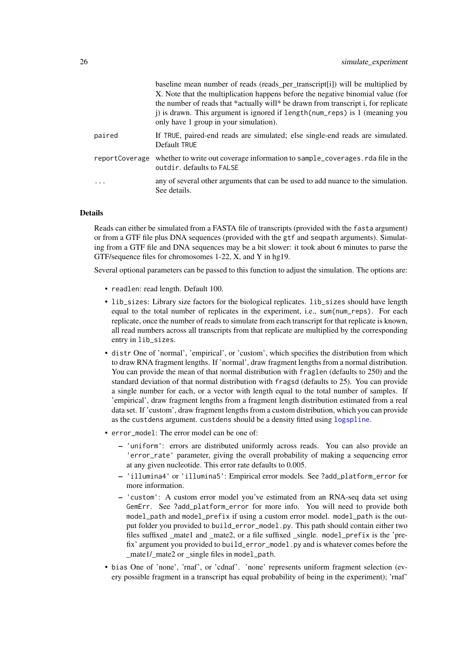<span id="page-25-0"></span>

|                | baseline mean number of reads (reads_per_transcript[i]) will be multiplied by<br>X. Note that the multiplication happens before the negative binomial value (for<br>the number of reads that *actually will* be drawn from transcript i, for replicate<br>j) is drawn. This argument is ignored if length (num_reps) is 1 (meaning you<br>only have 1 group in your simulation). |
|----------------|----------------------------------------------------------------------------------------------------------------------------------------------------------------------------------------------------------------------------------------------------------------------------------------------------------------------------------------------------------------------------------|
| paired         | If TRUE, paired-end reads are simulated; else single-end reads are simulated.<br>Default TRUE                                                                                                                                                                                                                                                                                    |
| reportCoverage | whether to write out coverage information to sample_coverages. rda file in the<br>outdir, defaults to FALSE                                                                                                                                                                                                                                                                      |
|                | any of several other arguments that can be used to add nuance to the simulation.<br>See details.                                                                                                                                                                                                                                                                                 |

## Details

Reads can either be simulated from a FASTA file of transcripts (provided with the fasta argument) or from a GTF file plus DNA sequences (provided with the gtf and seqpath arguments). Simulating from a GTF file and DNA sequences may be a bit slower: it took about 6 minutes to parse the GTF/sequence files for chromosomes 1-22, X, and Y in hg19.

Several optional parameters can be passed to this function to adjust the simulation. The options are:

- readlen: read length. Default 100.
- lib\_sizes: Library size factors for the biological replicates. lib\_sizes should have length equal to the total number of replicates in the experiment, i.e., sum(num\_reps). For each replicate, once the number of reads to simulate from each transcript for that replicate is known, all read numbers across all transcripts from that replicate are multiplied by the corresponding entry in lib\_sizes.
- distr One of 'normal', 'empirical', or 'custom', which specifies the distribution from which to draw RNA fragment lengths. If 'normal', draw fragment lengths from a normal distribution. You can provide the mean of that normal distribution with fraglen (defaults to 250) and the standard deviation of that normal distribution with fragsd (defaults to 25). You can provide a single number for each, or a vector with length equal to the total number of samples. If 'empirical', draw fragment lengths from a fragment length distribution estimated from a real data set. If 'custom', draw fragment lengths from a custom distribution, which you can provide as the custdens argument. custdens should be a density fitted using [logspline](#page-0-0).
- error\_model: The error model can be one of:
	- 'uniform': errors are distributed uniformly across reads. You can also provide an 'error\_rate' parameter, giving the overall probability of making a sequencing error at any given nucleotide. This error rate defaults to 0.005.
	- 'illumina4' or 'illumina5': Empirical error models. See ?add\_platform\_error for more information.
	- 'custom': A custom error model you've estimated from an RNA-seq data set using GemErr. See ?add\_platform\_error for more info. You will need to provide both model\_path and model\_prefix if using a custom error model. model\_path is the output folder you provided to build\_error\_model.py. This path should contain either two files suffixed mate1 and mate2, or a file suffixed single. mode1\_prefix is the 'prefix' argument you provided to build\_error\_model.py and is whatever comes before the \_mate1/\_mate2 or \_single files in model\_path.
- bias One of 'none', 'rnaf', or 'cdnaf'. 'none' represents uniform fragment selection (every possible fragment in a transcript has equal probability of being in the experiment); 'rnaf'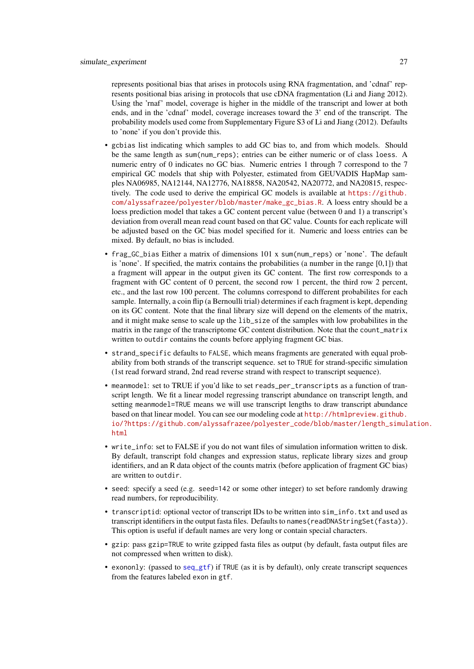<span id="page-26-0"></span>represents positional bias that arises in protocols using RNA fragmentation, and 'cdnaf' represents positional bias arising in protocols that use cDNA fragmentation (Li and Jiang 2012). Using the 'rnaf' model, coverage is higher in the middle of the transcript and lower at both ends, and in the 'cdnaf' model, coverage increases toward the 3' end of the transcript. The probability models used come from Supplementary Figure S3 of Li and Jiang (2012). Defaults to 'none' if you don't provide this.

- gcbias list indicating which samples to add GC bias to, and from which models. Should be the same length as sum(num\_reps); entries can be either numeric or of class loess. A numeric entry of 0 indicates no GC bias. Numeric entries 1 through 7 correspond to the 7 empirical GC models that ship with Polyester, estimated from GEUVADIS HapMap samples NA06985, NA12144, NA12776, NA18858, NA20542, NA20772, and NA20815, respectively. The code used to derive the empirical GC models is available at [https://github.](https://github.com/alyssafrazee/polyester/blob/master/make_gc_bias.R) [com/alyssafrazee/polyester/blob/master/make\\_gc\\_bias.R](https://github.com/alyssafrazee/polyester/blob/master/make_gc_bias.R). A loess entry should be a loess prediction model that takes a GC content percent value (between 0 and 1) a transcript's deviation from overall mean read count based on that GC value. Counts for each replicate will be adjusted based on the GC bias model specified for it. Numeric and loess entries can be mixed. By default, no bias is included.
- frag\_GC\_bias Either a matrix of dimensions 101 x sum(num\_reps) or 'none'. The default is 'none'. If specified, the matrix contains the probabilities (a number in the range  $[0,1]$ ) that a fragment will appear in the output given its GC content. The first row corresponds to a fragment with GC content of 0 percent, the second row 1 percent, the third row 2 percent, etc., and the last row 100 percent. The columns correspond to different probabilites for each sample. Internally, a coin flip (a Bernoulli trial) determines if each fragment is kept, depending on its GC content. Note that the final library size will depend on the elements of the matrix, and it might make sense to scale up the lib\_size of the samples with low probabilites in the matrix in the range of the transcriptome GC content distribution. Note that the count\_matrix written to outdir contains the counts before applying fragment GC bias.
- strand\_specific defaults to FALSE, which means fragments are generated with equal probability from both strands of the transcript sequence. set to TRUE for strand-specific simulation (1st read forward strand, 2nd read reverse strand with respect to transcript sequence).
- meanmodel: set to TRUE if you'd like to set reads\_per\_transcripts as a function of transcript length. We fit a linear model regressing transcript abundance on transcript length, and setting meanmodel=TRUE means we will use transcript lengths to draw transcript abundance based on that linear model. You can see our modeling code at [http://htmlpreview.github.](http://htmlpreview.github.io/?https://github.com/alyssafrazee/polyester_code/blob/master/length_simulation.html) [io/?https://github.com/alyssafrazee/polyester\\_code/blob/master/length\\_simul](http://htmlpreview.github.io/?https://github.com/alyssafrazee/polyester_code/blob/master/length_simulation.html)ation. [html](http://htmlpreview.github.io/?https://github.com/alyssafrazee/polyester_code/blob/master/length_simulation.html)
- write\_info: set to FALSE if you do not want files of simulation information written to disk. By default, transcript fold changes and expression status, replicate library sizes and group identifiers, and an R data object of the counts matrix (before application of fragment GC bias) are written to outdir.
- seed: specify a seed (e.g. seed=142 or some other integer) to set before randomly drawing read numbers, for reproducibility.
- transcriptid: optional vector of transcript IDs to be written into sim\_info.txt and used as transcript identifiers in the output fasta files. Defaults to names(readDNAStringSet(fasta)). This option is useful if default names are very long or contain special characters.
- gzip: pass gzip=TRUE to write gzipped fasta files as output (by default, fasta output files are not compressed when written to disk).
- exononly: (passed to [seq\\_gtf](#page-23-1)) if TRUE (as it is by default), only create transcript sequences from the features labeled exon in gtf.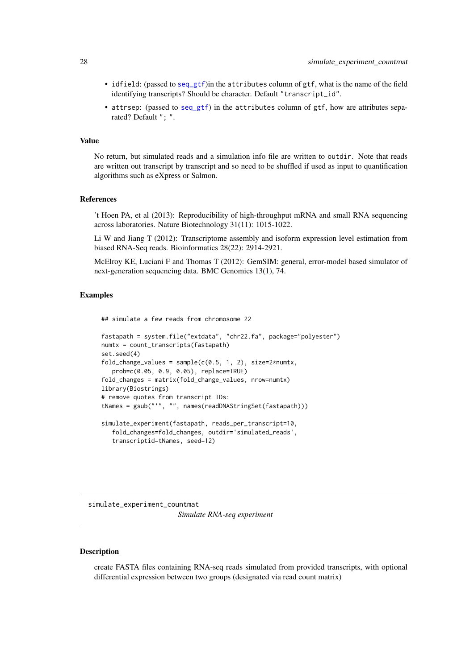- <span id="page-27-0"></span>• idfield: (passed to [seq\\_gtf](#page-23-1))in the attributes column of gtf, what is the name of the field identifying transcripts? Should be character. Default "transcript\_id".
- attrsep: (passed to [seq\\_gtf](#page-23-1)) in the attributes column of gtf, how are attributes separated? Default "; ".

## Value

No return, but simulated reads and a simulation info file are written to outdir. Note that reads are written out transcript by transcript and so need to be shuffled if used as input to quantification algorithms such as eXpress or Salmon.

## References

't Hoen PA, et al (2013): Reproducibility of high-throughput mRNA and small RNA sequencing across laboratories. Nature Biotechnology 31(11): 1015-1022.

Li W and Jiang T (2012): Transcriptome assembly and isoform expression level estimation from biased RNA-Seq reads. Bioinformatics 28(22): 2914-2921.

McElroy KE, Luciani F and Thomas T (2012): GemSIM: general, error-model based simulator of next-generation sequencing data. BMC Genomics 13(1), 74.

## Examples

## simulate a few reads from chromosome 22

```
fastapath = system.file("extdata", "chr22.fa", package="polyester")
numtx = count_transcripts(fastapath)
set.seed(4)
fold_change_values = sample(c(0.5, 1, 2), size=2*numtx,prob=c(0.05, 0.9, 0.05), replace=TRUE)
fold_changes = matrix(fold_change_values, nrow=numtx)
library(Biostrings)
# remove quotes from transcript IDs:
tNames = gsub("'", "", names(readDNAStringSet(fastapath)))
simulate_experiment(fastapath, reads_per_transcript=10,
   fold_changes=fold_changes, outdir='simulated_reads',
   transcriptid=tNames, seed=12)
```
<span id="page-27-1"></span>simulate\_experiment\_countmat *Simulate RNA-seq experiment*

## Description

create FASTA files containing RNA-seq reads simulated from provided transcripts, with optional differential expression between two groups (designated via read count matrix)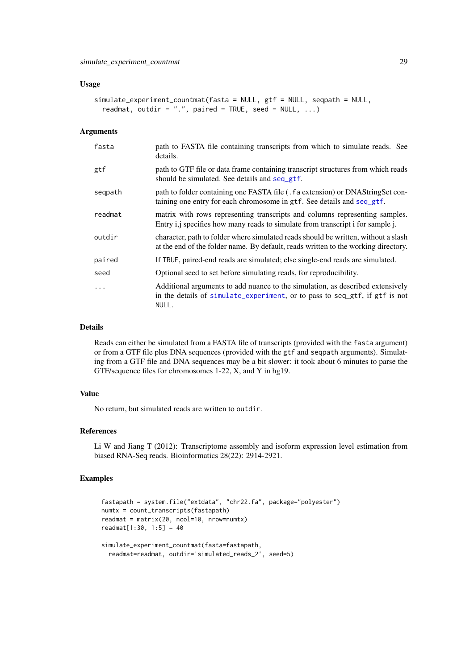#### <span id="page-28-0"></span>Usage

```
simulate_experiment_countmat(fasta = NULL, gtf = NULL, seqpath = NULL,
 readmat, outdir = ".", paired = TRUE, seed = NULL, ...)
```
## Arguments

| fasta   | path to FASTA file containing transcripts from which to simulate reads. See<br>details.                                                                                  |
|---------|--------------------------------------------------------------------------------------------------------------------------------------------------------------------------|
| gtf     | path to GTF file or data frame containing transcript structures from which reads<br>should be simulated. See details and seq_gtf.                                        |
| seqpath | path to folder containing one FASTA file (. f a extension) or DNAStringSet con-<br>taining one entry for each chromosome in gtf. See details and seq_gtf.                |
| readmat | matrix with rows representing transcripts and columns representing samples.<br>Entry i,j specifies how many reads to simulate from transcript i for sample j.            |
| outdir  | character, path to folder where simulated reads should be written, without a slash<br>at the end of the folder name. By default, reads written to the working directory. |
| paired  | If TRUE, paired-end reads are simulated; else single-end reads are simulated.                                                                                            |
| seed    | Optional seed to set before simulating reads, for reproducibility.                                                                                                       |
| .       | Additional arguments to add nuance to the simulation, as described extensively<br>in the details of simulate_experiment, or to pass to seq_gtf, if gtf is not<br>NULL.   |

#### Details

Reads can either be simulated from a FASTA file of transcripts (provided with the fasta argument) or from a GTF file plus DNA sequences (provided with the gtf and seqpath arguments). Simulating from a GTF file and DNA sequences may be a bit slower: it took about 6 minutes to parse the GTF/sequence files for chromosomes 1-22, X, and Y in hg19.

## Value

No return, but simulated reads are written to outdir.

## References

Li W and Jiang T (2012): Transcriptome assembly and isoform expression level estimation from biased RNA-Seq reads. Bioinformatics 28(22): 2914-2921.

#### Examples

```
fastapath = system.file("extdata", "chr22.fa", package="polyester")
numtx = count_transcripts(fastapath)
readmat = matrix(20, ncol=10, nrow=numtx)readmat[1:30, 1:5] = 40
simulate_experiment_countmat(fasta=fastapath,
 readmat=readmat, outdir='simulated_reads_2', seed=5)
```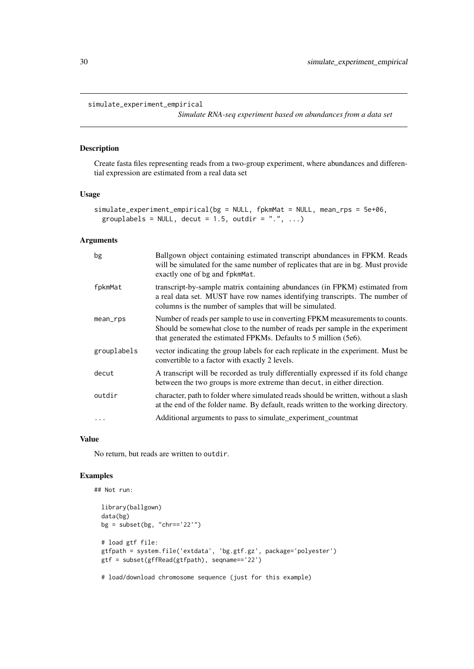#### <span id="page-29-0"></span>simulate\_experiment\_empirical

*Simulate RNA-seq experiment based on abundances from a data set*

## Description

Create fasta files representing reads from a two-group experiment, where abundances and differential expression are estimated from a real data set

## Usage

```
simulate_experiment_empirical(bg = NULL, fpkmMat = NULL, mean_rps = 5e+06,
 grouplabels = NULL, decut = 1.5, outdir = ".", ...)
```
## Arguments

| bg          | Ballgown object containing estimated transcript abundances in FPKM. Reads<br>will be simulated for the same number of replicates that are in bg. Must provide<br>exactly one of bg and fpkmMat.                                  |
|-------------|----------------------------------------------------------------------------------------------------------------------------------------------------------------------------------------------------------------------------------|
| fpkmMat     | transcript-by-sample matrix containing abundances (in FPKM) estimated from<br>a real data set. MUST have row names identifying transcripts. The number of<br>columns is the number of samples that will be simulated.            |
| mean_rps    | Number of reads per sample to use in converting FPKM measurements to counts.<br>Should be somewhat close to the number of reads per sample in the experiment<br>that generated the estimated FPKMs. Defaults to 5 million (5e6). |
| grouplabels | vector indicating the group labels for each replicate in the experiment. Must be<br>convertible to a factor with exactly 2 levels.                                                                                               |
| decut       | A transcript will be recorded as truly differentially expressed if its fold change<br>between the two groups is more extreme than decut, in either direction.                                                                    |
| outdir      | character, path to folder where simulated reads should be written, without a slash<br>at the end of the folder name. By default, reads written to the working directory.                                                         |
| .           | Additional arguments to pass to simulate_experiment_countmat                                                                                                                                                                     |

## Value

No return, but reads are written to outdir.

## Examples

```
## Not run:
  library(ballgown)
  data(bg)
  bg = subset(bg, "chr=='22'")
  # load gtf file:
  gtfpath = system.file('extdata', 'bg.gtf.gz', package='polyester')
  gtf = subset(gffRead(gtfpath), seqname=='22')
```
# load/download chromosome sequence (just for this example)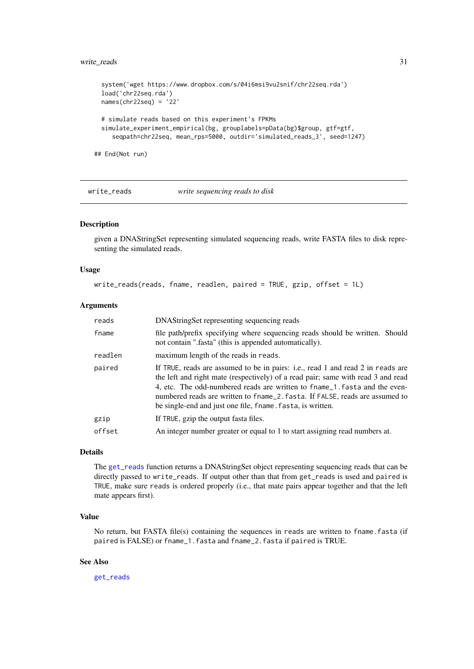#### <span id="page-30-0"></span>write\_reads 31

```
system('wget https://www.dropbox.com/s/04i6msi9vu2snif/chr22seq.rda')
  load('chr22seq.rda')
  names(chr22seq) = '22'
  # simulate reads based on this experiment's FPKMs
  simulate_experiment_empirical(bg, grouplabels=pData(bg)$group, gtf=gtf,
     seqpath=chr22seq, mean_rps=5000, outdir='simulated_reads_3', seed=1247)
## End(Not run)
```
#### write\_reads *write sequencing reads to disk*

#### Description

given a DNAStringSet representing simulated sequencing reads, write FASTA files to disk representing the simulated reads.

#### Usage

write\_reads(reads, fname, readlen, paired = TRUE, gzip, offset = 1L)

#### Arguments

| reads   | DNAStringSet representing sequencing reads                                                                                                                                                                                                                                                                                                                                                      |
|---------|-------------------------------------------------------------------------------------------------------------------------------------------------------------------------------------------------------------------------------------------------------------------------------------------------------------------------------------------------------------------------------------------------|
| fname   | file path/prefix specifying where sequencing reads should be written. Should<br>not contain ".fasta" (this is appended automatically).                                                                                                                                                                                                                                                          |
| readlen | maximum length of the reads in reads.                                                                                                                                                                                                                                                                                                                                                           |
| paired  | If TRUE, reads are assumed to be in pairs: i.e., read 1 and read 2 in reads are<br>the left and right mate (respectively) of a read pair; same with read 3 and read<br>4, etc. The odd-numbered reads are written to fname_1. fasta and the even-<br>numbered reads are written to fname_2. fasta. If FALSE, reads are assumed to<br>be single-end and just one file, fname. fasta, is written. |
| gzip    | If TRUE, gzip the output fasta files.                                                                                                                                                                                                                                                                                                                                                           |
| offset  | An integer number greater or equal to 1 to start assigning read numbers at.                                                                                                                                                                                                                                                                                                                     |
|         |                                                                                                                                                                                                                                                                                                                                                                                                 |

## Details

The [get\\_reads](#page-11-1) function returns a DNAStringSet object representing sequencing reads that can be directly passed to write\_reads. If output other than that from get\_reads is used and paired is TRUE, make sure reads is ordered properly (i.e., that mate pairs appear together and that the left mate appears first).

## Value

No return, but FASTA file(s) containing the sequences in reads are written to fname.fasta (if paired is FALSE) or fname\_1.fasta and fname\_2.fasta if paired is TRUE.

## See Also

[get\\_reads](#page-11-1)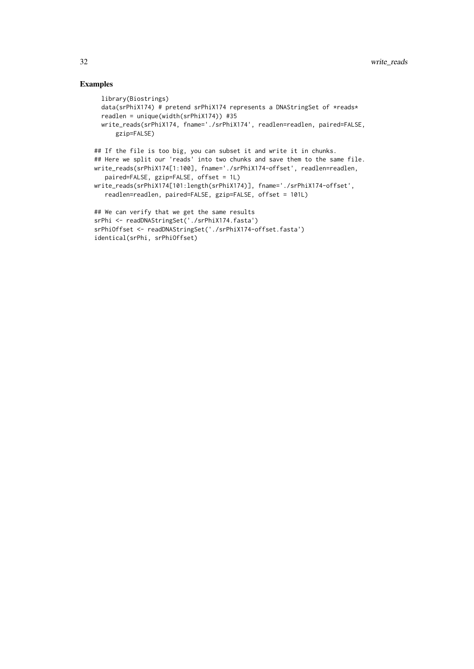## Examples

```
library(Biostrings)
  data(srPhiX174) # pretend srPhiX174 represents a DNAStringSet of *reads*
  readlen = unique(width(srPhiX174)) #35
  write_reads(srPhiX174, fname='./srPhiX174', readlen=readlen, paired=FALSE,
      gzip=FALSE)
## If the file is too big, you can subset it and write it in chunks.
## Here we split our 'reads' into two chunks and save them to the same file.
write_reads(srPhiX174[1:100], fname='./srPhiX174-offset', readlen=readlen,
   paired=FALSE, gzip=FALSE, offset = 1L)
write_reads(srPhiX174[101:length(srPhiX174)], fname='./srPhiX174-offset',
   readlen=readlen, paired=FALSE, gzip=FALSE, offset = 101L)
## We can verify that we get the same results
srPhi <- readDNAStringSet('./srPhiX174.fasta')
srPhiOffset <- readDNAStringSet('./srPhiX174-offset.fasta')
identical(srPhi, srPhiOffset)
```